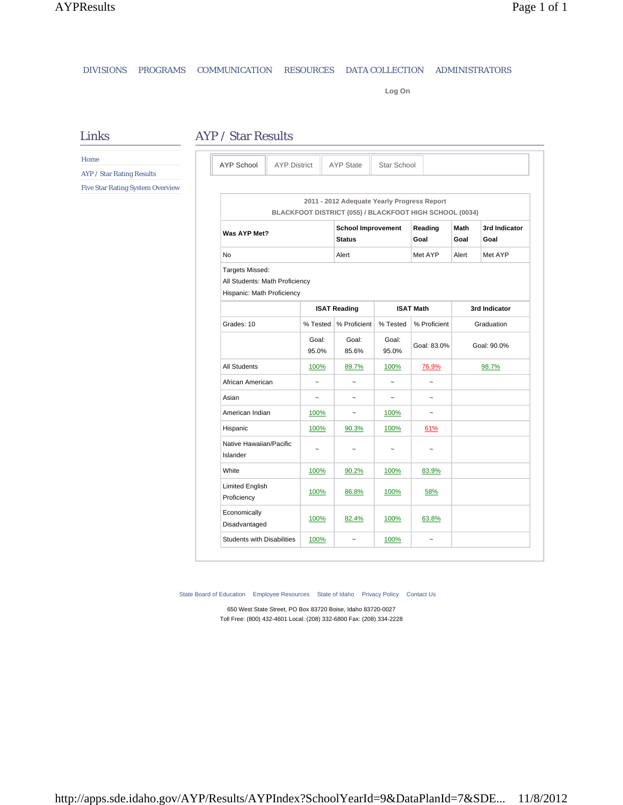## DIVISIONS PROGRAMS COMMUNICATION RESOURCES DATA COLLECTION ADMINISTRATORS

**Log On**

## AYP / Star Results

**2011 - 2012 Adequate Yearly Progress Report BLACKFOOT DISTRICT (055) / BLACKFOOT HIGH SCHOOL (0034) Was AYP Met? School Improvement Status Reading Goal Math Goal 3rd Indicator Goal** No Alert Alert Met AYP Alert Met AYP Alert Met AYP Targets Missed: All Students: Math Proficiency Hispanic: Math Proficiency **ISAT Reading ISAT Math 3rd Indicator** Grades: 10 % Tested  $\sqrt{\ }$  % Proficient  $\sqrt{\ }$  % Tested  $\sqrt{\ }$  % Proficient Graduation Goal: 95.0% Goal: 85.6% Goal: 95.0% Goal: 83.0% Goal: 90.0% All Students 100% 89.7% 100% 76.9% 98.7% African American  $\begin{vmatrix} \sim & \sim & \sim & \sim & \sim & \sim \end{vmatrix}$ Asian | ~ | ~ | ~ | ~ American Indian 100% - 100% ~ Hispanic 100% 90.3% 100% 61% Native Hawaiian/Pacific Islander  $\sim$   $\sim$   $\sim$   $\sim$   $\sim$ White 100% 90.2% 100% 83.9% Limited English Proficiency 100% 86.8% 100% 58% Economically Disadvantaged 100% 82.4% 100% 63.8% Students with Disabilities  $\begin{array}{c|c} 100\% & \sim & 100\% \end{array}$ AYP School AYP District AYP State Star School

State Board of Education Employee Resources State of Idaho Privacy Policy Contact Us

650 West State Street, PO Box 83720 Boise, Idaho 83720-0027 Toll Free: (800) 432-4601 Local: (208) 332-6800 Fax: (208) 334-2228

Links Home

AYP / Star Rating Results

Five Star Rating System Overview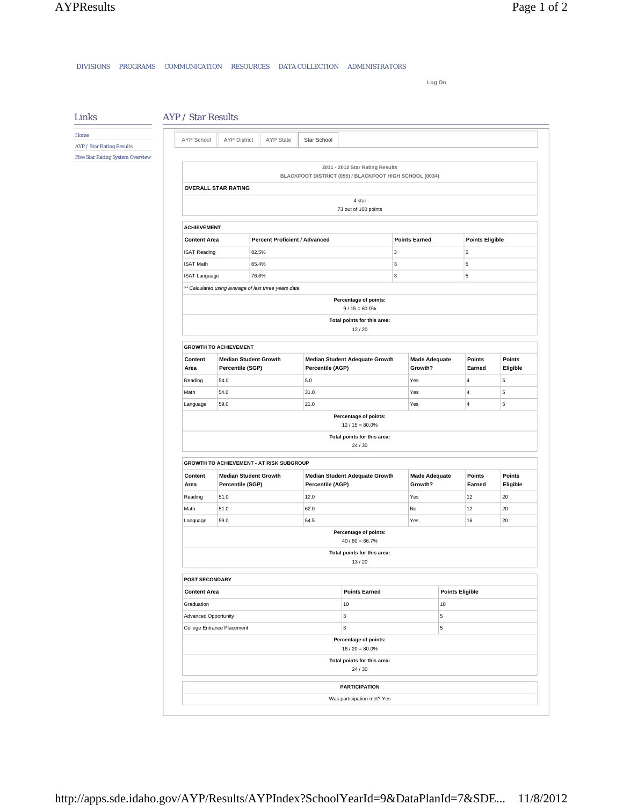Links

DIVISIONS PROGRAMS COMMUNICATION RESOURCES DATA COLLECTION ADMINISTRATORS

**Log On**

## AYP / Star Results

Home AYP / Star Rating Results Five Star Rating System Overview

| AYP School           | <b>AYP District</b>                              | AYP State                                            | Star School |                                                                                            |                      |                                 |                        |                        |                    |
|----------------------|--------------------------------------------------|------------------------------------------------------|-------------|--------------------------------------------------------------------------------------------|----------------------|---------------------------------|------------------------|------------------------|--------------------|
|                      |                                                  |                                                      |             |                                                                                            |                      |                                 |                        |                        |                    |
|                      |                                                  |                                                      |             | 2011 - 2012 Star Rating Results<br>BLACKFOOT DISTRICT (055) / BLACKFOOT HIGH SCHOOL (0034) |                      |                                 |                        |                        |                    |
|                      | <b>OVERALL STAR RATING</b>                       |                                                      |             |                                                                                            |                      |                                 |                        |                        |                    |
|                      |                                                  |                                                      |             | 4 star                                                                                     |                      |                                 |                        |                        |                    |
|                      |                                                  |                                                      |             | 73 out of 100 points                                                                       |                      |                                 |                        |                        |                    |
| <b>ACHIEVEMENT</b>   |                                                  |                                                      |             |                                                                                            |                      |                                 |                        |                        |                    |
| <b>Content Area</b>  |                                                  | <b>Percent Proficient / Advanced</b>                 |             |                                                                                            | <b>Points Earned</b> |                                 |                        | <b>Points Eligible</b> |                    |
| <b>ISAT Reading</b>  |                                                  | 82.5%                                                |             |                                                                                            | 3                    |                                 |                        | 5                      |                    |
| <b>ISAT Math</b>     |                                                  | 65.4%                                                |             |                                                                                            | 3                    |                                 |                        | 5                      |                    |
| <b>ISAT Language</b> |                                                  | 76.6%                                                |             |                                                                                            | 3                    |                                 |                        | 5                      |                    |
|                      |                                                  | ** Calculated using average of last three years data |             |                                                                                            |                      |                                 |                        |                        |                    |
|                      |                                                  |                                                      |             | Percentage of points:<br>$9 / 15 = 60.0\%$                                                 |                      |                                 |                        |                        |                    |
|                      |                                                  |                                                      |             | Total points for this area:<br>12/20                                                       |                      |                                 |                        |                        |                    |
|                      | <b>GROWTH TO ACHIEVEMENT</b>                     |                                                      |             |                                                                                            |                      |                                 |                        |                        |                    |
| Content<br>Area      | <b>Median Student Growth</b><br>Percentile (SGP) |                                                      |             | <b>Median Student Adequate Growth</b><br>Percentile (AGP)                                  |                      | <b>Made Adequate</b><br>Growth? |                        | Points<br>Earned       | Points<br>Eligible |
| Reading              | 54.0                                             |                                                      | 5.0         |                                                                                            |                      | Yes                             |                        | $\overline{4}$         | 5                  |
| Math                 | 54.0                                             |                                                      | 31.0        |                                                                                            |                      | Yes                             |                        | 4                      | 5                  |
| Language             | 59.0                                             |                                                      | 21.0        |                                                                                            |                      |                                 | Yes                    |                        | 5                  |
|                      |                                                  |                                                      |             | Percentage of points:                                                                      |                      |                                 |                        |                        |                    |
|                      |                                                  |                                                      |             | $12/15 = 80.0\%$                                                                           |                      |                                 |                        |                        |                    |
|                      |                                                  |                                                      |             | Total points for this area:<br>24/30                                                       |                      |                                 |                        |                        |                    |
|                      |                                                  | GROWTH TO ACHIEVEMENT - AT RISK SUBGROUP             |             |                                                                                            |                      |                                 |                        |                        |                    |
| Content<br>Area      | <b>Median Student Growth</b><br>Percentile (SGP) |                                                      |             | <b>Median Student Adequate Growth</b><br>Percentile (AGP)                                  |                      | <b>Made Adequate</b><br>Growth? |                        | Points<br>Earned       | Points<br>Eligible |
| Reading              | 51.0                                             |                                                      | 12.0        |                                                                                            |                      | Yes                             |                        | 12                     | 20                 |
| Math                 | 51.0                                             |                                                      | 62.0        |                                                                                            |                      | No                              |                        | 12                     | 20                 |
| Language             | 59.0                                             |                                                      | 54.5        |                                                                                            |                      |                                 |                        | 16                     | 20                 |
|                      |                                                  |                                                      |             | Percentage of points:<br>$40/60 = 66.7%$                                                   |                      |                                 |                        |                        |                    |
|                      |                                                  |                                                      |             | Total points for this area:<br>13/20                                                       |                      |                                 |                        |                        |                    |
| POST SECONDARY       |                                                  |                                                      |             |                                                                                            |                      |                                 |                        |                        |                    |
| <b>Content Area</b>  |                                                  |                                                      |             | <b>Points Earned</b>                                                                       |                      |                                 | <b>Points Eligible</b> |                        |                    |
| Graduation           |                                                  |                                                      |             | 10                                                                                         |                      |                                 | 10                     |                        |                    |
| Advanced Opportunity |                                                  |                                                      |             | 3                                                                                          |                      |                                 | 5                      |                        |                    |
|                      | College Entrance Placement                       |                                                      | 3           |                                                                                            |                      | 5                               |                        |                        |                    |
|                      |                                                  |                                                      |             | Percentage of points:<br>$16 / 20 = 80.0\%$                                                |                      |                                 |                        |                        |                    |
|                      |                                                  |                                                      |             | Total points for this area:<br>24 / 30                                                     |                      |                                 |                        |                        |                    |
|                      |                                                  |                                                      |             | <b>PARTICIPATION</b>                                                                       |                      |                                 |                        |                        |                    |
|                      |                                                  |                                                      |             | Was participation met? Yes                                                                 |                      |                                 |                        |                        |                    |